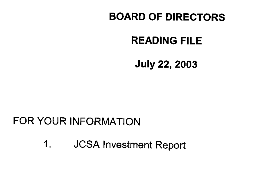## **BOARD OF DIRECTORS**

## **READING FILE**

**July 22, 2003** 

## FOR YOUR INFORMATION

**JCSA Investment Report**  $1.$